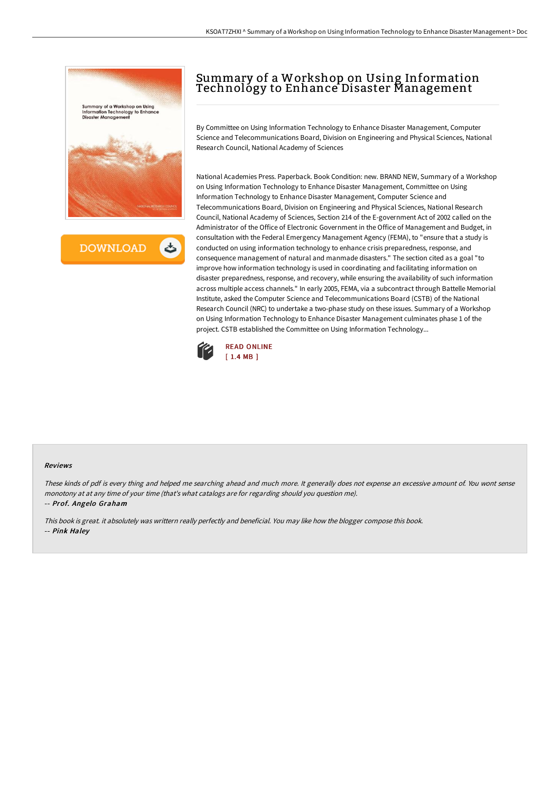



## Summary of a Workshop on Using Information Technology to Enhance Disaster Management

By Committee on Using Information Technology to Enhance Disaster Management, Computer Science and Telecommunications Board, Division on Engineering and Physical Sciences, National Research Council, National Academy of Sciences

National Academies Press. Paperback. Book Condition: new. BRAND NEW, Summary of a Workshop on Using Information Technology to Enhance Disaster Management, Committee on Using Information Technology to Enhance Disaster Management, Computer Science and Telecommunications Board, Division on Engineering and Physical Sciences, National Research Council, National Academy of Sciences, Section 214 of the E-government Act of 2002 called on the Administrator of the Office of Electronic Government in the Office of Management and Budget, in consultation with the Federal Emergency Management Agency (FEMA), to "ensure that a study is conducted on using information technology to enhance crisis preparedness, response, and consequence management of natural and manmade disasters." The section cited as a goal "to improve how information technology is used in coordinating and facilitating information on disaster preparedness, response, and recovery, while ensuring the availability of such information across multiple access channels." In early 2005, FEMA, via a subcontract through Battelle Memorial Institute, asked the Computer Science and Telecommunications Board (CSTB) of the National Research Council (NRC) to undertake a two-phase study on these issues. Summary of a Workshop on Using Information Technology to Enhance Disaster Management culminates phase 1 of the project. CSTB established the Committee on Using Information Technology...



## Reviews

These kinds of pdf is every thing and helped me searching ahead and much more. It generally does not expense an excessive amount of. You wont sense monotony at at any time of your time (that's what catalogs are for regarding should you question me). -- Prof. Angelo Graham

This book is great. it absolutely was writtern really perfectly and beneficial. You may like how the blogger compose this book. -- Pink Haley